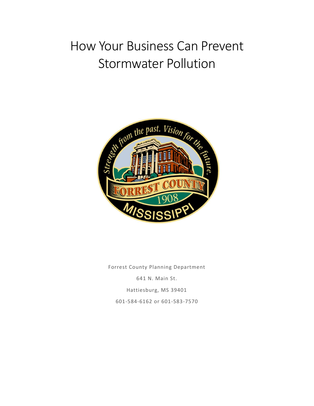# How Your Business Can Prevent Stormwater Pollution



Forrest County Planning Department 641 N. Main St. Hattiesburg, MS 39401 601-584-6162 or 601-583-7570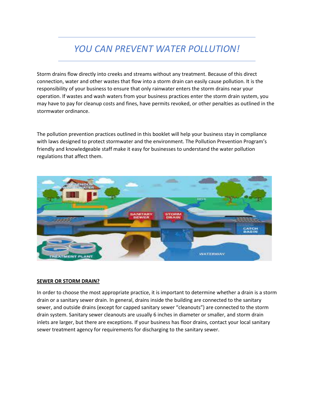### *YOU CAN PREVENT WATER POLLUTION!*

Storm drains flow directly into creeks and streams without any treatment. Because of this direct connection, water and other wastes that flow into a storm drain can easily cause pollution. It is the responsibility of your business to ensure that only rainwater enters the storm drains near your operation. If wastes and wash waters from your business practices enter the storm drain system, you may have to pay for cleanup costs and fines, have permits revoked, or other penalties as outlined in the stormwater ordinance.

The pollution prevention practices outlined in this booklet will help your business stay in compliance with laws designed to protect stormwater and the environment. The Pollution Prevention Program's friendly and knowledgeable staff make it easy for businesses to understand the water pollution regulations that affect them.



#### **SEWER OR STORM DRAIN?**

In order to choose the most appropriate practice, it is important to determine whether a drain is a storm drain or a sanitary sewer drain. In general, drains inside the building are connected to the sanitary sewer, and outside drains (except for capped sanitary sewer "cleanouts") are connected to the storm drain system. Sanitary sewer cleanouts are usually 6 inches in diameter or smaller, and storm drain inlets are larger, but there are exceptions. If your business has floor drains, contact your local sanitary sewer treatment agency for requirements for discharging to the sanitary sewer.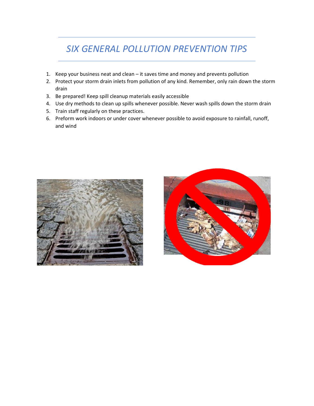### *SIX GENERAL POLLUTION PREVENTION TIPS*

- 1. Keep your business neat and clean it saves time and money and prevents pollution
- 2. Protect your storm drain inlets from pollution of any kind. Remember, only rain down the storm drain
- 3. Be prepared! Keep spill cleanup materials easily accessible
- 4. Use dry methods to clean up spills whenever possible. Never wash spills down the storm drain
- 5. Train staff regularly on these practices.
- 6. Preform work indoors or under cover whenever possible to avoid exposure to rainfall, runoff, and wind



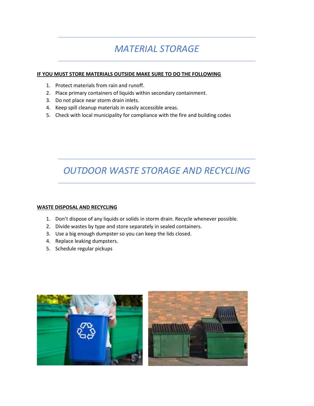### *MATERIAL STORAGE*

#### **IF YOU MUST STORE MATERIALS OUTSIDE MAKE SURE TO DO THE FOLLOWING**

- 1. Protect materials from rain and runoff.
- 2. Place primary containers of liquids within secondary containment.
- 3. Do not place near storm drain inlets.
- 4. Keep spill cleanup materials in easily accessible areas.
- 5. Check with local municipality for compliance with the fire and building codes

### *OUTDOOR WASTE STORAGE AND RECYCLING*

#### **WASTE DISPOSAL AND RECYCLING**

- 1. Don't dispose of any liquids or solids in storm drain. Recycle whenever possible.
- 2. Divide wastes by type and store separately in sealed containers.
- 3. Use a big enough dumpster so you can keep the lids closed.
- 4. Replace leaking dumpsters.
- 5. Schedule regular pickups

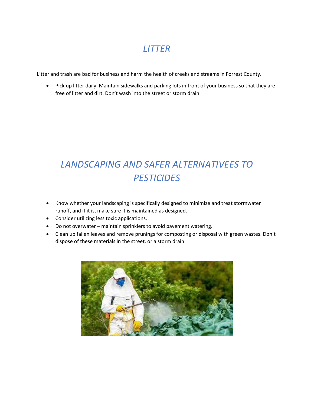### *LITTER*

Litter and trash are bad for business and harm the health of creeks and streams in Forrest County.

• Pick up litter daily. Maintain sidewalks and parking lots in front of your business so that they are free of litter and dirt. Don't wash into the street or storm drain.

## *LANDSCAPING AND SAFER ALTERNATIVEES TO PESTICIDES*

- Know whether your landscaping is specifically designed to minimize and treat stormwater runoff, and if it is, make sure it is maintained as designed.
- Consider utilizing less toxic applications.
- Do not overwater maintain sprinklers to avoid pavement watering.
- Clean up fallen leaves and remove prunings for composting or disposal with green wastes. Don't dispose of these materials in the street, or a storm drain